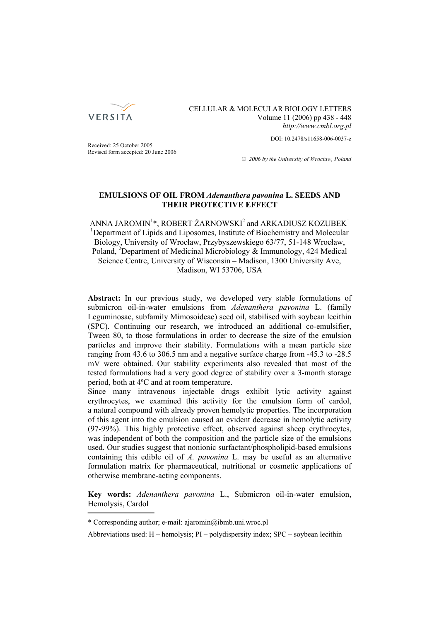

CELLULAR & MOLECULAR BIOLOGY LETTERS Volume 11 (2006) pp 438 - 448 *http://www.cmbl.org.pl*

DOI: 10.2478/s11658-006-0037-z

Received: 25 October 2005 Revised form accepted: 20 June 2006

*© 2006 by the University of Wrocław, Poland*

# **EMULSIONS OF OIL FROM** *Adenanthera pavonina* **L. SEEDS AND THEIR PROTECTIVE EFFECT**

ANNA JAROMIN<sup>1</sup>\*, ROBERT ŻARNOWSKI<sup>2</sup> and ARKADIUSZ KOZUBEK<sup>1</sup> <sup>1</sup>Department of Lipids and Liposomes, Institute of Biochemistry and Molecular Biology, University of Wrocław, Przybyszewskiego 63/77, 51-148 Wrocław, Poland, <sup>2</sup>Department of Medicinal Microbiology & Immunology, 424 Medical Science Centre, University of Wisconsin – Madison, 1300 University Ave, Madison, WI 53706, USA

**Abstract:** In our previous study, we developed very stable formulations of submicron oil-in-water emulsions from *Adenanthera pavonina* L. (family Leguminosae, subfamily Mimosoideae) seed oil, stabilised with soybean lecithin (SPC). Continuing our research, we introduced an additional co-emulsifier, Tween 80, to those formulations in order to decrease the size of the emulsion particles and improve their stability. Formulations with a mean particle size ranging from 43.6 to 306.5 nm and a negative surface charge from -45.3 to -28.5 mV were obtained. Our stability experiments also revealed that most of the tested formulations had a very good degree of stability over a 3-month storage period, both at 4ºC and at room temperature.

Since many intravenous injectable drugs exhibit lytic activity against erythrocytes, we examined this activity for the emulsion form of cardol, a natural compound with already proven hemolytic properties. The incorporation of this agent into the emulsion caused an evident decrease in hemolytic activity (97-99%). This highly protective effect, observed against sheep erythrocytes, was independent of both the composition and the particle size of the emulsions used. Our studies suggest that nonionic surfactant/phospholipid-based emulsions containing this edible oil of *A. pavonina* L. may be useful as an alternative formulation matrix for pharmaceutical, nutritional or cosmetic applications of otherwise membrane-acting components.

**Key words:** *Adenanthera pavonina* L., Submicron oil-in-water emulsion, Hemolysis, Cardol

<sup>\*</sup> Corresponding author; e-mail: ajaromin@ibmb.uni.wroc.pl

Abbreviations used: H – hemolysis; PI – polydispersity index; SPC – soybean lecithin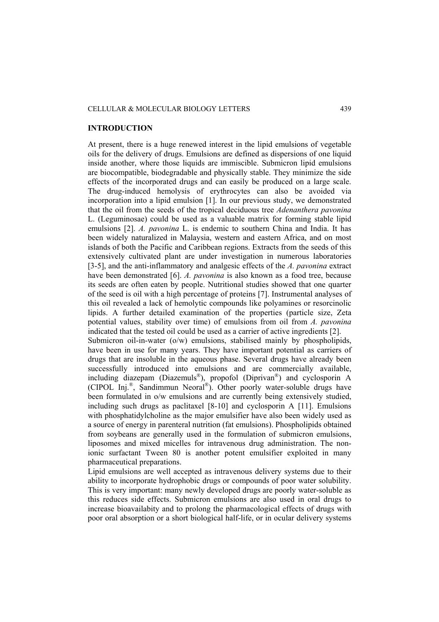### CELLULAR & MOLECULAR BIOLOGY LETTERS 439

### **INTRODUCTION**

At present, there is a huge renewed interest in the lipid emulsions of vegetable oils for the delivery of drugs. Emulsions are defined as dispersions of one liquid inside another, where those liquids are immiscible. Submicron lipid emulsions are biocompatible, biodegradable and physically stable. They minimize the side effects of the incorporated drugs and can easily be produced on a large scale. The drug-induced hemolysis of erythrocytes can also be avoided via incorporation into a lipid emulsion [1]. In our previous study, we demonstrated that the oil from the seeds of the tropical deciduous tree *Adenanthera pavonina*  L. (Leguminosae) could be used as a valuable matrix for forming stable lipid emulsions [2]. *A. pavonina* L. is endemic to southern China and India. It has been widely naturalized in Malaysia, western and eastern Africa, and on most islands of both the Pacific and Caribbean regions. Extracts from the seeds of this extensively cultivated plant are under investigation in numerous laboratories [3-5], and the anti-inflammatory and analgesic effects of the *A. pavonina* extract have been demonstrated [6]. A. *pavonina* is also known as a food tree, because its seeds are often eaten by people. Nutritional studies showed that one quarter of the seed is oil with a high percentage of proteins [7]. Instrumental analyses of this oil revealed a lack of hemolytic compounds like polyamines or resorcinolic lipids. A further detailed examination of the properties (particle size, Zeta potential values, stability over time) of emulsions from oil from *A. pavonina* indicated that the tested oil could be used as a carrier of active ingredients [2]. Submicron oil-in-water (o/w) emulsions, stabilised mainly by phospholipids, have been in use for many years. They have important potential as carriers of drugs that are insoluble in the aqueous phase. Several drugs have already been successfully introduced into emulsions and are commercially available, including diazepam (Diazemuls®), propofol (Diprivan®) and cyclosporin A (CIPOL Inj.®, Sandimmun Neoral®). Other poorly water-soluble drugs have

been formulated in o/w emulsions and are currently being extensively studied, including such drugs as paclitaxel [8-10] and cyclosporin A [11]. Emulsions with phosphatidylcholine as the major emulsifier have also been widely used as a source of energy in parenteral nutrition (fat emulsions). Phospholipids obtained from soybeans are generally used in the formulation of submicron emulsions, liposomes and mixed micelles for intravenous drug administration. The nonionic surfactant Tween 80 is another potent emulsifier exploited in many pharmaceutical preparations.

Lipid emulsions are well accepted as intravenous delivery systems due to their ability to incorporate hydrophobic drugs or compounds of poor water solubility. This is very important: many newly developed drugs are poorly water-soluble as this reduces side effects. Submicron emulsions are also used in oral drugs to increase bioavailabity and to prolong the pharmacological effects of drugs with poor oral absorption or a short biological half-life, or in ocular delivery systems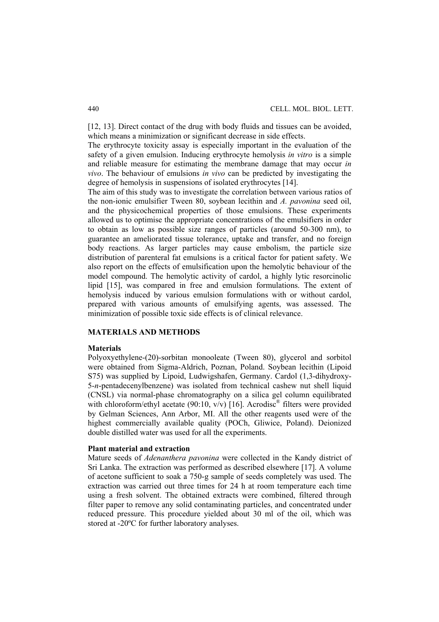[12, 13]. Direct contact of the drug with body fluids and tissues can be avoided, which means a minimization or significant decrease in side effects.

The erythrocyte toxicity assay is especially important in the evaluation of the safety of a given emulsion. Inducing erythrocyte hemolysis *in vitro* is a simple and reliable measure for estimating the membrane damage that may occur *in vivo*. The behaviour of emulsions *in vivo* can be predicted by investigating the degree of hemolysis in suspensions of isolated erythrocytes [14].

The aim of this study was to investigate the correlation between various ratios of the non-ionic emulsifier Tween 80, soybean lecithin and *A. pavonina* seed oil, and the physicochemical properties of those emulsions. These experiments allowed us to optimise the appropriate concentrations of the emulsifiers in order to obtain as low as possible size ranges of particles (around 50-300 nm), to guarantee an ameliorated tissue tolerance, uptake and transfer, and no foreign body reactions. As larger particles may cause embolism, the particle size distribution of parenteral fat emulsions is a critical factor for patient safety. We also report on the effects of emulsification upon the hemolytic behaviour of the model compound. The hemolytic activity of cardol, a highly lytic resorcinolic lipid [15], was compared in free and emulsion formulations. The extent of hemolysis induced by various emulsion formulations with or without cardol, prepared with various amounts of emulsifying agents, was assessed. The minimization of possible toxic side effects is of clinical relevance.

### **MATERIALS AND METHODS**

#### **Materials**

Polyoxyethylene-(20)-sorbitan monooleate (Tween 80), glycerol and sorbitol were obtained from Sigma-Aldrich, Poznan, Poland. Soybean lecithin (Lipoid S75) was supplied by Lipoid, Ludwigshafen, Germany. Cardol (1,3-dihydroxy-5-*n*-pentadecenylbenzene) was isolated from technical cashew nut shell liquid (CNSL) via normal-phase chromatography on a silica gel column equilibrated with chloroform/ethyl acetate (90:10,  $v/v$ ) [16]. Acrodisc<sup>®</sup> filters were provided by Gelman Sciences, Ann Arbor, MI. All the other reagents used were of the highest commercially available quality (POCh, Gliwice, Poland). Deionized double distilled water was used for all the experiments.

## **Plant material and extraction**

Mature seeds of *Adenanthera pavonina* were collected in the Kandy district of Sri Lanka. The extraction was performed as described elsewhere [17]. A volume of acetone sufficient to soak a 750-g sample of seeds completely was used. The extraction was carried out three times for 24 h at room temperature each time using a fresh solvent. The obtained extracts were combined, filtered through filter paper to remove any solid contaminating particles, and concentrated under reduced pressure. This procedure yielded about 30 ml of the oil, which was stored at -20ºC for further laboratory analyses.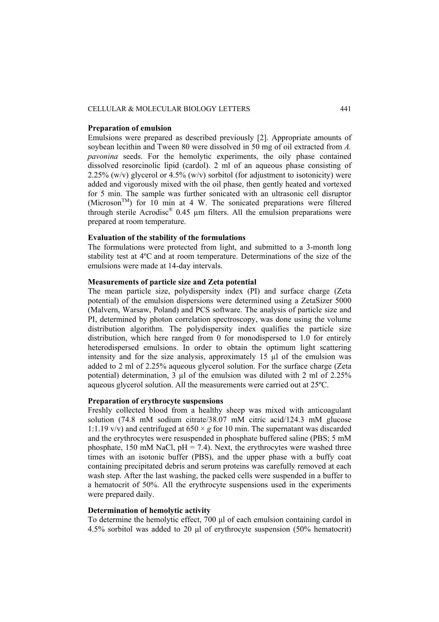### CELLULAR & MOLECULAR BIOLOGY LETTERS 441

### **Preparation of emulsion**

Emulsions were prepared as described previously [2]. Appropriate amounts of soybean lecithin and Tween 80 were dissolved in 50 mg of oil extracted from *A. pavonina* seeds. For the hemolytic experiments, the oily phase contained dissolved resorcinolic lipid (cardol). 2 ml of an aqueous phase consisting of 2.25% (w/v) glycerol or  $4.5\%$  (w/v) sorbitol (for adjustment to isotonicity) were added and vigorously mixed with the oil phase, then gently heated and vortexed for 5 min. The sample was further sonicated with an ultrasonic cell disruptor (Microson<sup>TM</sup>) for 10 min at 4 W. The sonicated preparations were filtered through sterile Acrodisc® 0.45 µm filters. All the emulsion preparations were prepared at room temperature.

# **Evaluation of the stability of the formulations**

The formulations were protected from light, and submitted to a 3-month long stability test at 4ºC and at room temperature. Determinations of the size of the emulsions were made at 14-day intervals.

### **Measurements of particle size and Zeta potential**

The mean particle size, polydispersity index (PI) and surface charge (Zeta potential) of the emulsion dispersions were determined using a ZetaSizer 5000 (Malvern, Warsaw, Poland) and PCS software. The analysis of particle size and PI, determined by photon correlation spectroscopy, was done using the volume distribution algorithm. The polydispersity index qualifies the particle size distribution, which here ranged from 0 for monodispersed to 1.0 for entirely heterodispersed emulsions. In order to obtain the optimum light scattering intensity and for the size analysis, approximately 15 µl of the emulsion was added to 2 ml of 2.25% aqueous glycerol solution. For the surface charge (Zeta potential) determination, 3 µl of the emulsion was diluted with 2 ml of 2.25% aqueous glycerol solution. All the measurements were carried out at 25ºC.

# **Preparation of erythrocyte suspensions**

Freshly collected blood from a healthy sheep was mixed with anticoagulant solution (74.8 mM sodium citrate/38.07 mM citric acid/124.3 mM glucose 1:1.19  $v/v$ ) and centrifuged at  $650 \times g$  for 10 min. The supernatant was discarded and the erythrocytes were resuspended in phosphate buffered saline (PBS; 5 mM phosphate, 150 mM NaCl,  $pH = 7.4$ ). Next, the erythrocytes were washed three times with an isotonic buffer (PBS), and the upper phase with a buffy coat containing precipitated debris and serum proteins was carefully removed at each wash step. After the last washing, the packed cells were suspended in a buffer to a hematocrit of 50%. All the erythrocyte suspensions used in the experiments were prepared daily.

## **Determination of hemolytic activity**

To determine the hemolytic effect, 700 μl of each emulsion containing cardol in 4.5% sorbitol was added to 20 μl of erythrocyte suspension (50% hematocrit)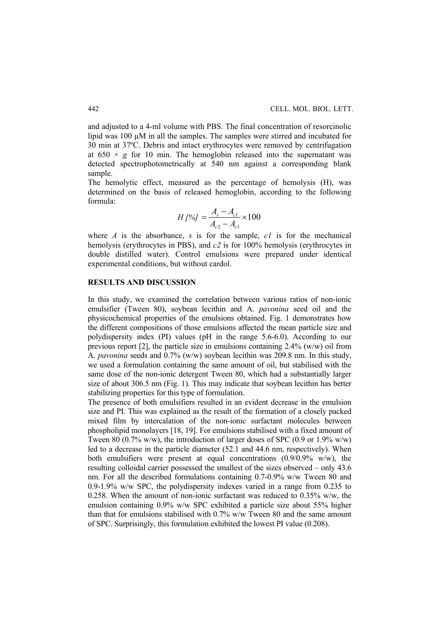and adjusted to a 4-ml volume with PBS. The final concentration of resorcinolic lipid was 100 µM in all the samples. The samples were stirred and incubated for 30 min at 37ºC. Debris and intact erythrocytes were removed by centrifugation at  $650 \times g$  for 10 min. The hemoglobin released into the supernatant was detected spectrophotometrically at 540 nm against a corresponding blank sample.

The hemolytic effect, measured as the percentage of hemolysis (H), was determined on the basis of released hemoglobin, according to the following formula:

$$
H[%] = \frac{A_s - A_{c1}}{A_{c2} - A_{c1}} \times 100
$$

where *A* is the absorbance, *s* is for the sample,  $cI$  is for the mechanical hemolysis (erythrocytes in PBS), and *c2* is for 100% hemolysis (erythrocytes in double distilled water). Control emulsions were prepared under identical experimental conditions, but without cardol.

## **RESULTS AND DISCUSSION**

In this study, we examined the correlation between various ratios of non-ionic emulsifier (Tween 80), soybean lecithin and A. *pavonina* seed oil and the physicochemical properties of the emulsions obtained. Fig. 1 demonstrates how the different compositions of those emulsions affected the mean particle size and polydispersity index (PI) values (pH in the range 5.6-6.0). According to our previous report [2], the particle size in emulsions containing  $2.4\%$  (w/w) oil from A. *pavonina* seeds and 0.7% (w/w) soybean lecithin was 209.8 nm. In this study, we used a formulation containing the same amount of oil, but stabilised with the same dose of the non-ionic detergent Tween 80, which had a substantially larger size of about 306.5 nm (Fig. 1). This may indicate that soybean lecithin has better stabilizing properties for this type of formulation.

The presence of both emulsifiers resulted in an evident decrease in the emulsion size and PI. This was explained as the result of the formation of a closely packed mixed film by intercalation of the non-ionic surfactant molecules between phospholipid monolayers [18, 19]. For emulsions stabilised with a fixed amount of Tween 80 (0.7% w/w), the introduction of larger doses of SPC (0.9 or 1.9% w/w) led to a decrease in the particle diameter (52.1 and 44.6 nm, respectively). When both emulsifiers were present at equal concentrations  $(0.9/0.9\% \text{ w/w})$ , the resulting colloidal carrier possessed the smallest of the sizes observed – only 43.6 nm. For all the described formulations containing 0.7-0.9% w/w Tween 80 and 0.9-1.9% w/w SPC, the polydispersity indexes varied in a range from 0.235 to 0.258. When the amount of non-ionic surfactant was reduced to 0.35% w/w, the emulsion containing 0.9% w/w SPC exhibited a particle size about 55% higher than that for emulsions stabilised with  $0.7\%$  w/w Tween 80 and the same amount of SPC. Surprisingly, this formulation exhibited the lowest PI value (0.208).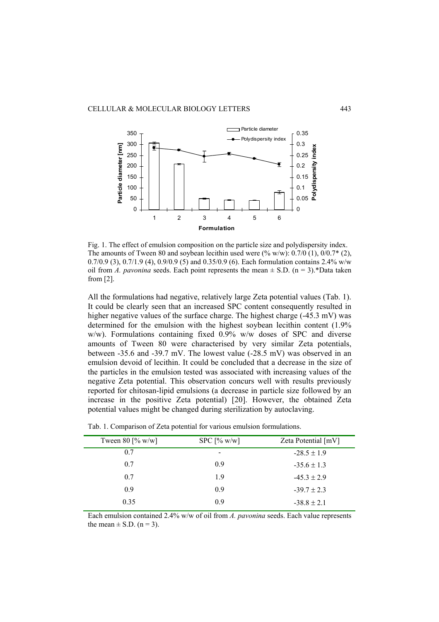

Fig. 1. The effect of emulsion composition on the particle size and polydispersity index. The amounts of Tween 80 and soybean lecithin used were  $(\% w/w)$ : 0.7/0 (1), 0/0.7 $*(2)$ , 0.7/0.9 (3), 0.7/1.9 (4), 0.9/0.9 (5) and 0.35/0.9 (6). Each formulation contains 2.4% w/w oil from *A. pavonina* seeds. Each point represents the mean  $\pm$  S.D. (n = 3).\*Data taken from [2].

All the formulations had negative, relatively large Zeta potential values (Tab. 1). It could be clearly seen that an increased SPC content consequently resulted in higher negative values of the surface charge. The highest charge (-45.3 mV) was determined for the emulsion with the highest soybean lecithin content (1.9% w/w). Formulations containing fixed 0.9% w/w doses of SPC and diverse amounts of Tween 80 were characterised by very similar Zeta potentials, between -35.6 and -39.7 mV. The lowest value (-28.5 mV) was observed in an emulsion devoid of lecithin. It could be concluded that a decrease in the size of the particles in the emulsion tested was associated with increasing values of the negative Zeta potential. This observation concurs well with results previously reported for chitosan-lipid emulsions (a decrease in particle size followed by an increase in the positive Zeta potential) [20]. However, the obtained Zeta potential values might be changed during sterilization by autoclaving.

Tab. 1. Comparison of Zeta potential for various emulsion formulations.

Each emulsion contained 2.4% w/w of oil from *A. pavonina* seeds. Each value represents the mean  $\pm$  S.D. (n = 3).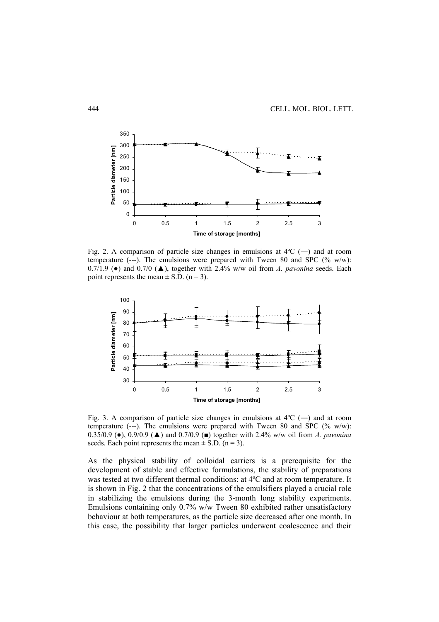

Fig. 2. A comparison of particle size changes in emulsions at  $4^{\circ}C$  (—) and at room temperature  $(--)$ . The emulsions were prepared with Tween 80 and SPC  $(\% w/w)$ : 0.7/1.9 (●) and 0.7/0 (▲), together with 2.4% w/w oil from *A. pavonina* seeds. Each point represents the mean  $\pm$  S.D. (n = 3).



Fig. 3. A comparison of particle size changes in emulsions at  $4^{\circ}C$  (—) and at room temperature (---). The emulsions were prepared with Tween 80 and SPC (% w/w): 0.35/0.9 (●), 0.9/0.9 (▲) and 0.7/0.9 (■) together with 2.4% w/w oil from *A. pavonina* seeds. Each point represents the mean  $\pm$  S.D. (n = 3).

As the physical stability of colloidal carriers is a prerequisite for the development of stable and effective formulations, the stability of preparations was tested at two different thermal conditions: at 4ºC and at room temperature. It is shown in Fig. 2 that the concentrations of the emulsifiers played a crucial role in stabilizing the emulsions during the 3-month long stability experiments. Emulsions containing only 0.7% w/w Tween 80 exhibited rather unsatisfactory behaviour at both temperatures, as the particle size decreased after one month. In this case, the possibility that larger particles underwent coalescence and their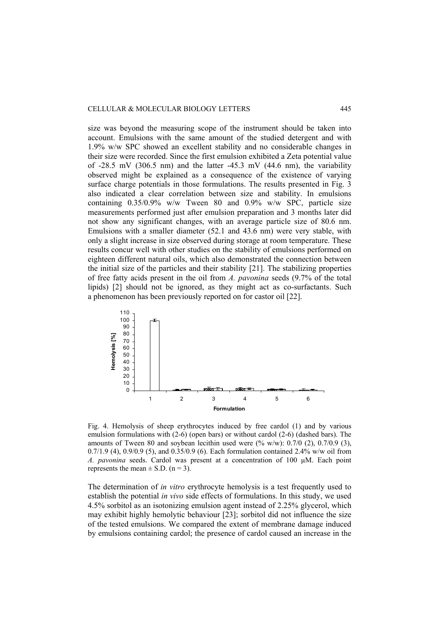### CELLULAR & MOLECULAR BIOLOGY LETTERS 445

size was beyond the measuring scope of the instrument should be taken into account. Emulsions with the same amount of the studied detergent and with 1.9% w/w SPC showed an excellent stability and no considerable changes in their size were recorded. Since the first emulsion exhibited a Zeta potential value of  $-28.5$  mV (306.5 nm) and the latter  $-45.3$  mV (44.6 nm), the variability observed might be explained as a consequence of the existence of varying surface charge potentials in those formulations. The results presented in Fig. 3 also indicated a clear correlation between size and stability. In emulsions containing 0.35/0.9% w/w Tween 80 and 0.9% w/w SPC, particle size measurements performed just after emulsion preparation and 3 months later did not show any significant changes, with an average particle size of 80.6 nm. Emulsions with a smaller diameter (52.1 and 43.6 nm) were very stable, with only a slight increase in size observed during storage at room temperature. These results concur well with other studies on the stability of emulsions performed on eighteen different natural oils, which also demonstrated the connection between the initial size of the particles and their stability [21]. The stabilizing properties of free fatty acids present in the oil from *A. pavonina* seeds (9.7% of the total lipids) [2] should not be ignored, as they might act as co-surfactants. Such a phenomenon has been previously reported on for castor oil [22].



Fig. 4. Hemolysis of sheep erythrocytes induced by free cardol (1) and by various emulsion formulations with (2-6) (open bars) or without cardol (2-6) (dashed bars). The amounts of Tween 80 and soybean lecithin used were  $(\% w/w)$ : 0.7/0 (2), 0.7/0.9 (3), 0.7/1.9 (4), 0.9/0.9 (5), and 0.35/0.9 (6). Each formulation contained 2.4% w/w oil from *A. pavonina* seeds. Cardol was present at a concentration of 100 µM. Each point represents the mean  $\pm$  S.D. (n = 3).

The determination of *in vitro* erythrocyte hemolysis is a test frequently used to establish the potential *in vivo* side effects of formulations. In this study, we used 4.5% sorbitol as an isotonizing emulsion agent instead of 2.25% glycerol, which may exhibit highly hemolytic behaviour [23]; sorbitol did not influence the size of the tested emulsions. We compared the extent of membrane damage induced by emulsions containing cardol; the presence of cardol caused an increase in the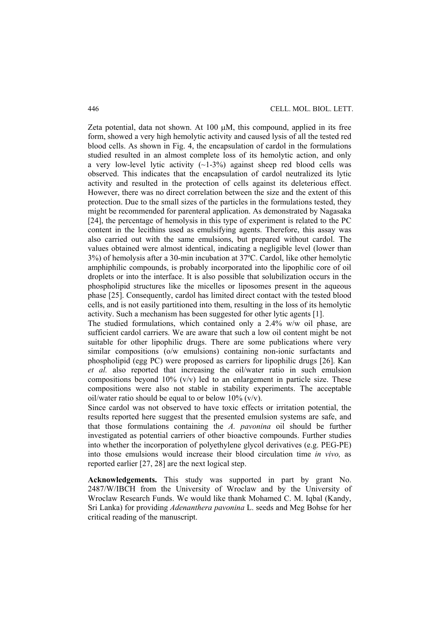Zeta potential, data not shown. At  $100 \mu M$ , this compound, applied in its free form, showed a very high hemolytic activity and caused lysis of all the tested red blood cells. As shown in Fig. 4, the encapsulation of cardol in the formulations studied resulted in an almost complete loss of its hemolytic action, and only a very low-level lytic activity  $(-1-3\%)$  against sheep red blood cells was observed. This indicates that the encapsulation of cardol neutralized its lytic activity and resulted in the protection of cells against its deleterious effect. However, there was no direct correlation between the size and the extent of this protection. Due to the small sizes of the particles in the formulations tested, they might be recommended for parenteral application. As demonstrated by Nagasaka [24], the percentage of hemolysis in this type of experiment is related to the PC content in the lecithins used as emulsifying agents. Therefore, this assay was also carried out with the same emulsions, but prepared without cardol. The values obtained were almost identical, indicating a negligible level (lower than 3%) of hemolysis after a 30-min incubation at 37ºC. Cardol, like other hemolytic amphiphilic compounds, is probably incorporated into the lipophilic core of oil droplets or into the interface. It is also possible that solubilization occurs in the phospholipid structures like the micelles or liposomes present in the aqueous phase [25]. Consequently, cardol has limited direct contact with the tested blood cells, and is not easily partitioned into them, resulting in the loss of its hemolytic activity. Such a mechanism has been suggested for other lytic agents [1].

The studied formulations, which contained only a 2.4% w/w oil phase, are sufficient cardol carriers. We are aware that such a low oil content might be not suitable for other lipophilic drugs. There are some publications where very similar compositions (o/w emulsions) containing non-ionic surfactants and phospholipid (egg PC) were proposed as carriers for lipophilic drugs [26]. Kan *et al.* also reported that increasing the oil/water ratio in such emulsion compositions beyond  $10\%$  (v/v) led to an enlargement in particle size. These compositions were also not stable in stability experiments. The acceptable oil/water ratio should be equal to or below  $10\%$  (v/v).

Since cardol was not observed to have toxic effects or irritation potential, the results reported here suggest that the presented emulsion systems are safe, and that those formulations containing the *A. pavonina* oil should be further investigated as potential carriers of other bioactive compounds. Further studies into whether the incorporation of polyethylene glycol derivatives (e.g. PEG-PE) into those emulsions would increase their blood circulation time *in vivo,* as reported earlier [27, 28] are the next logical step.

**Acknowledgements.** This study was supported in part by grant No. 2487/W/IBCH from the University of Wroclaw and by the University of Wroclaw Research Funds. We would like thank Mohamed C. M. Iqbal (Kandy, Sri Lanka) for providing *Adenanthera pavonina* L. seeds and Meg Bohse for her critical reading of the manuscript.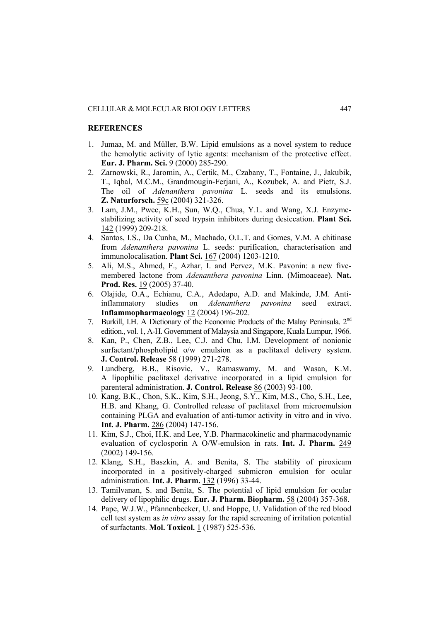### **REFERENCES**

- 1. Jumaa, M. and Müller, B.W. Lipid emulsions as a novel system to reduce the hemolytic activity of lytic agents: mechanism of the protective effect. **Eur. J. Pharm. Sci.** 9 (2000) 285-290.
- 2. Zarnowski, R., Jaromin, A., Certik, M., Czabany, T., Fontaine, J., Jakubik, T., Iqbal, M.C.M., Grandmougin-Ferjani, A., Kozubek, A. and Pietr, S.J. The oil of *Adenanthera pavonina* L. seeds and its emulsions. **Z. Naturforsch.** 59c (2004) 321-326.
- 3. Lam, J.M., Pwee, K.H., Sun, W.Q., Chua, Y.L. and Wang, X.J. Enzymestabilizing activity of seed trypsin inhibitors during desiccation. **Plant Sci.** 142 (1999) 209-218.
- 4. Santos, I.S., Da Cunha, M., Machado, O.L.T. and Gomes, V.M. A chitinase from *Adenanthera pavonina* L. seeds: purification, characterisation and immunolocalisation. **Plant Sci.** 167 (2004) 1203-1210.
- 5. Ali, M.S., Ahmed, F., Azhar, I. and Pervez, M.K. Pavonin: a new fivemembered lactone from *Adenanthera pavonina* Linn. (Mimoaceae). **Nat. Prod. Res.** 19 (2005) 37-40.
- 6. Olajide, O.A., Echianu, C.A., Adedapo, A.D. and Makinde, J.M. Antiinflammatory studies on *Adenanthera pavonina* seed extract. **Inflammopharmacology** 12 (2004) 196-202.
- 7. Burkill, I.H. A Dictionary of the Economic Products of the Malay Peninsula. 2nd edition., vol. 1, A-H. Government of Malaysia and Singapore, Kuala Lumpur, 1966.
- 8. Kan, P., Chen, Z.B., Lee, C.J. and Chu, I.M. Development of nonionic surfactant/phospholipid o/w emulsion as a paclitaxel delivery system. **J. Control. Release** 58 (1999) 271-278.
- 9. Lundberg, B.B., Risovic, V., Ramaswamy, M. and Wasan, K.M. A lipophilic paclitaxel derivative incorporated in a lipid emulsion for parenteral administration. **J. Control. Release** 86 (2003) 93-100.
- 10. Kang, B.K., Chon, S.K., Kim, S.H., Jeong, S.Y., Kim, M.S., Cho, S.H., Lee, H.B. and Khang, G. Controlled release of paclitaxel from microemulsion containing PLGA and evaluation of anti-tumor activity in vitro and in vivo. **Int. J. Pharm.** 286 (2004) 147-156.
- 11. Kim, S.J., Choi, H.K. and Lee, Y.B. Pharmacokinetic and pharmacodynamic evaluation of cyclosporin A O/W-emulsion in rats. **Int. J. Pharm.** 249 (2002) 149-156.
- 12. Klang, S.H., Baszkin, A. and Benita, S. The stability of piroxicam incorporated in a positively-charged submicron emulsion for ocular administration. **Int. J. Pharm.** 132 (1996) 33-44.
- 13. Tamilvanan, S. and Benita, S. The potential of lipid emulsion for ocular delivery of lipophilic drugs. **Eur. J. Pharm. Biopharm.** 58 (2004) 357-368.
- 14. Pape, W.J.W., Pfannenbecker, U. and Hoppe, U. Validation of the red blood cell test system as *in vitro* assay for the rapid screening of irritation potential of surfactants. **Mol. Toxicol.** 1 (1987) 525-536.